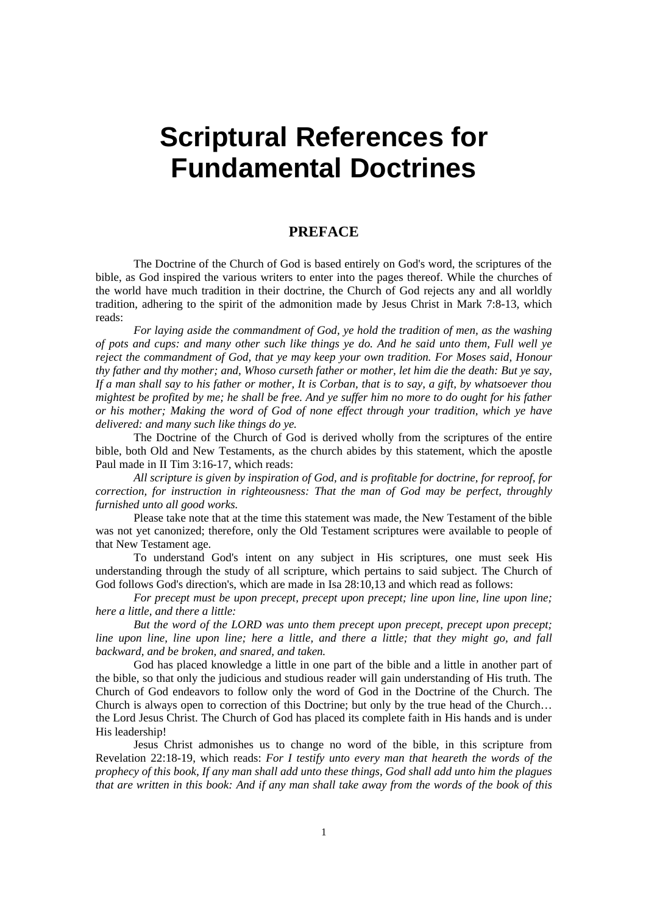# **Scriptural References for Fundamental Doctrines**

#### **PREFACE**

The Doctrine of the Church of God is based entirely on God's word, the scriptures of the bible, as God inspired the various writers to enter into the pages thereof. While the churches of the world have much tradition in their doctrine, the Church of God rejects any and all worldly tradition, adhering to the spirit of the admonition made by Jesus Christ in Mark 7:8-13, which reads:

*For laying aside the commandment of God, ye hold the tradition of men, as the washing of pots and cups: and many other such like things ye do. And he said unto them, Full well ye reject the commandment of God, that ye may keep your own tradition. For Moses said, Honour thy father and thy mother; and, Whoso curseth father or mother, let him die the death: But ye say, If a man shall say to his father or mother, It is Corban, that is to say, a gift, by whatsoever thou mightest be profited by me; he shall be free. And ye suffer him no more to do ought for his father or his mother; Making the word of God of none effect through your tradition, which ye have delivered: and many such like things do ye.*

The Doctrine of the Church of God is derived wholly from the scriptures of the entire bible, both Old and New Testaments, as the church abides by this statement, which the apostle Paul made in II Tim 3:16-17, which reads:

*All scripture is given by inspiration of God, and is profitable for doctrine, for reproof, for correction, for instruction in righteousness: That the man of God may be perfect, throughly furnished unto all good works.*

Please take note that at the time this statement was made, the New Testament of the bible was not yet canonized; therefore, only the Old Testament scriptures were available to people of that New Testament age.

To understand God's intent on any subject in His scriptures, one must seek His understanding through the study of all scripture, which pertains to said subject. The Church of God follows God's direction's, which are made in Isa 28:10,13 and which read as follows:

*For precept must be upon precept, precept upon precept; line upon line, line upon line; here a little, and there a little:*

*But the word of the LORD was unto them precept upon precept, precept upon precept; line upon line, line upon line; here a little, and there a little; that they might go, and fall backward, and be broken, and snared, and taken.*

God has placed knowledge a little in one part of the bible and a little in another part of the bible, so that only the judicious and studious reader will gain understanding of His truth. The Church of God endeavors to follow only the word of God in the Doctrine of the Church. The Church is always open to correction of this Doctrine; but only by the true head of the Church… the Lord Jesus Christ. The Church of God has placed its complete faith in His hands and is under His leadership!

Jesus Christ admonishes us to change no word of the bible, in this scripture from Revelation 22:18-19, which reads: *For I testify unto every man that heareth the words of the prophecy of this book, If any man shall add unto these things, God shall add unto him the plagues that are written in this book: And if any man shall take away from the words of the book of this*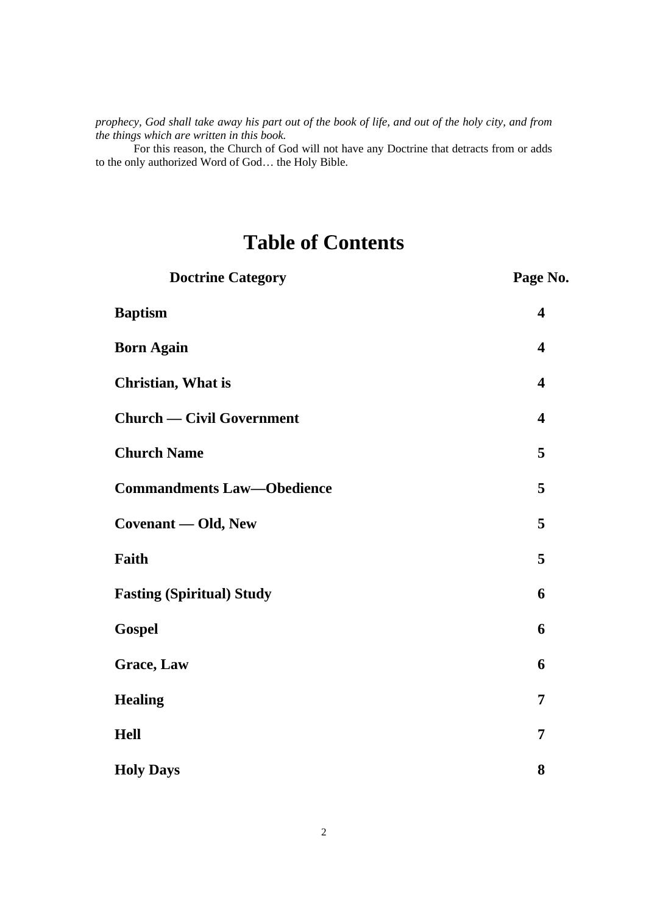*prophecy, God shall take away his part out of the book of life, and out of the holy city, and from the things which are written in this book.*

For this reason, the Church of God will not have any Doctrine that detracts from or adds to the only authorized Word of God… the Holy Bible.

# **Table of Contents**

| <b>Doctrine Category</b>          | Page No.                |
|-----------------------------------|-------------------------|
| <b>Baptism</b>                    | $\overline{\mathbf{4}}$ |
| <b>Born Again</b>                 | $\overline{\mathbf{4}}$ |
| <b>Christian, What is</b>         | $\overline{\mathbf{4}}$ |
| <b>Church — Civil Government</b>  | $\overline{\mathbf{4}}$ |
| <b>Church Name</b>                | 5                       |
| <b>Commandments Law-Obedience</b> | 5                       |
| Covenant - Old, New               | 5                       |
| Faith                             | 5                       |
| <b>Fasting (Spiritual) Study</b>  | 6                       |
| Gospel                            | 6                       |
| <b>Grace, Law</b>                 | 6                       |
| <b>Healing</b>                    | 7                       |
| <b>Hell</b>                       | 7                       |
| <b>Holy Days</b>                  | 8                       |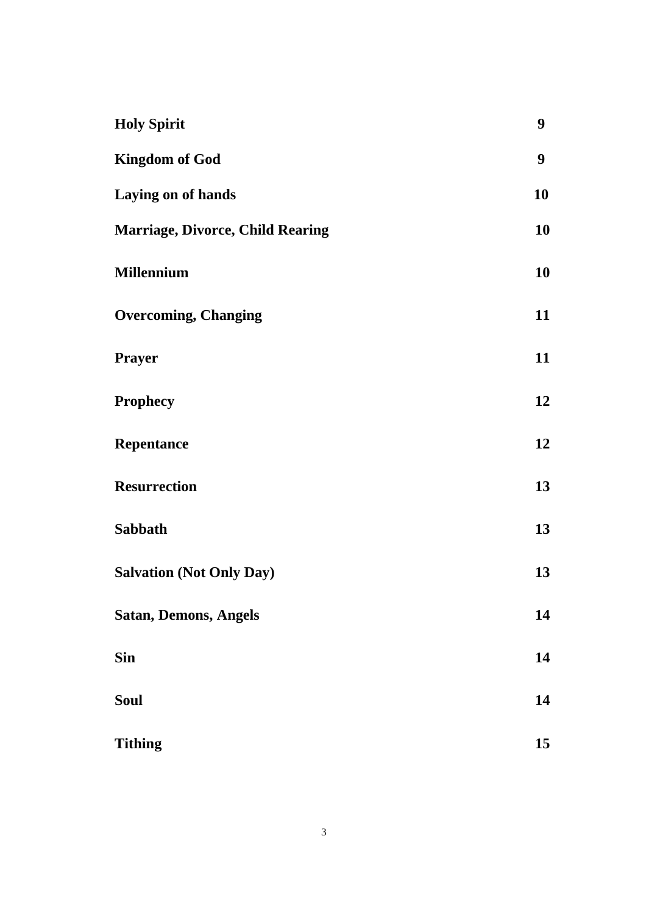| <b>Holy Spirit</b>                      | 9  |
|-----------------------------------------|----|
| <b>Kingdom of God</b>                   | 9  |
| Laying on of hands                      | 10 |
| <b>Marriage, Divorce, Child Rearing</b> | 10 |
| <b>Millennium</b>                       | 10 |
| <b>Overcoming, Changing</b>             | 11 |
| Prayer                                  | 11 |
| <b>Prophecy</b>                         | 12 |
| <b>Repentance</b>                       | 12 |
| <b>Resurrection</b>                     | 13 |
| Sabbath                                 | 13 |
| <b>Salvation (Not Only Day)</b>         | 13 |
| <b>Satan, Demons, Angels</b>            | 14 |
| <b>Sin</b>                              | 14 |
| Soul                                    | 14 |
| <b>Tithing</b>                          | 15 |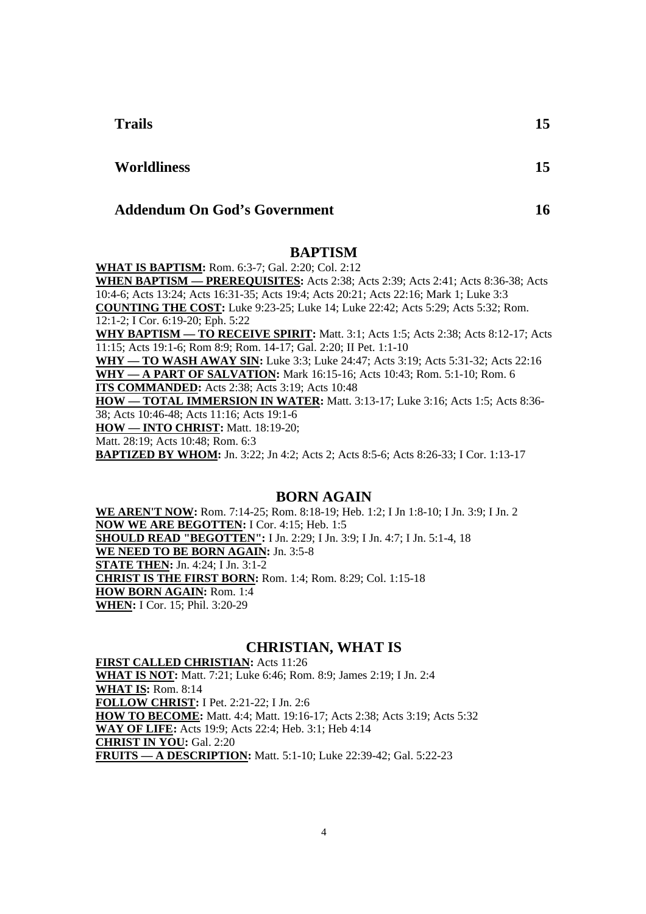**Trails 15**

#### **Addendum On God's Government 16**

#### **BAPTISM**

**WHAT IS BAPTISM:** Rom. 6:3-7; Gal. 2:20; Col. 2:12

**WHEN BAPTISM — PREREQUISITES:** Acts 2:38; Acts 2:39; Acts 2:41; Acts 8:36-38; Acts 10:4-6; Acts 13:24; Acts 16:31-35; Acts 19:4; Acts 20:21; Acts 22:16; Mark 1; Luke 3:3 **COUNTING THE COST:** Luke 9:23-25; Luke 14; Luke 22:42; Acts 5:29; Acts 5:32; Rom. 12:1-2; I Cor. 6:19-20; Eph. 5:22 **WHY BAPTISM — TO RECEIVE SPIRIT:** Matt. 3:1; Acts 1:5; Acts 2:38; Acts 8:12-17; Acts 11:15; Acts 19:1-6; Rom 8:9; Rom. 14-17; Gal. 2:20; II Pet. 1:1-10

**WHY — TO WASH AWAY SIN:** Luke 3:3; Luke 24:47; Acts 3:19; Acts 5:31-32; Acts 22:16 **WHY — A PART OF SALVATION:** Mark 16:15-16; Acts 10:43; Rom. 5:1-10; Rom. 6 **ITS COMMANDED:** Acts 2:38; Acts 3:19; Acts 10:48

**HOW — TOTAL IMMERSION IN WATER:** Matt. 3:13-17; Luke 3:16; Acts 1:5; Acts 8:36- 38; Acts 10:46-48; Acts 11:16; Acts 19:1-6

- **HOW INTO CHRIST:** Matt. 18:19-20;
- Matt. 28:19; Acts 10:48; Rom. 6:3

**BAPTIZED BY WHOM:** Jn. 3:22; Jn 4:2; Acts 2; Acts 8:5-6; Acts 8:26-33; I Cor. 1:13-17

#### **BORN AGAIN**

**WE AREN'T NOW:** Rom. 7:14-25; Rom. 8:18-19; Heb. 1:2; I Jn 1:8-10; I Jn. 3:9; I Jn. 2 **NOW WE ARE BEGOTTEN:** I Cor. 4:15; Heb. 1:5 **SHOULD READ "BEGOTTEN":** I Jn. 2:29; I Jn. 3:9; I Jn. 4:7; I Jn. 5:1-4, 18 **WE NEED TO BE BORN AGAIN:** Jn. 3:5-8 **STATE THEN:** Jn. 4:24; I Jn. 3:1-2 **CHRIST IS THE FIRST BORN:** Rom. 1:4; Rom. 8:29; Col. 1:15-18 **HOW BORN AGAIN:** Rom. 1:4 **WHEN:** I Cor. 15; Phil. 3:20-29

#### **CHRISTIAN, WHAT IS**

**FIRST CALLED CHRISTIAN:** Acts 11:26 **WHAT IS NOT:** Matt. 7:21; Luke 6:46; Rom. 8:9; James 2:19; I Jn. 2:4 **WHAT IS:** Rom. 8:14 **FOLLOW CHRIST:** I Pet. 2:21-22; I Jn. 2:6 **HOW TO BECOME:** Matt. 4:4; Matt. 19:16-17; Acts 2:38; Acts 3:19; Acts 5:32 **WAY OF LIFE:** Acts 19:9; Acts 22:4; Heb. 3:1; Heb 4:14 **CHRIST IN YOU:** Gal. 2:20 **FRUITS — A DESCRIPTION:** Matt. 5:1-10; Luke 22:39-42; Gal. 5:22-23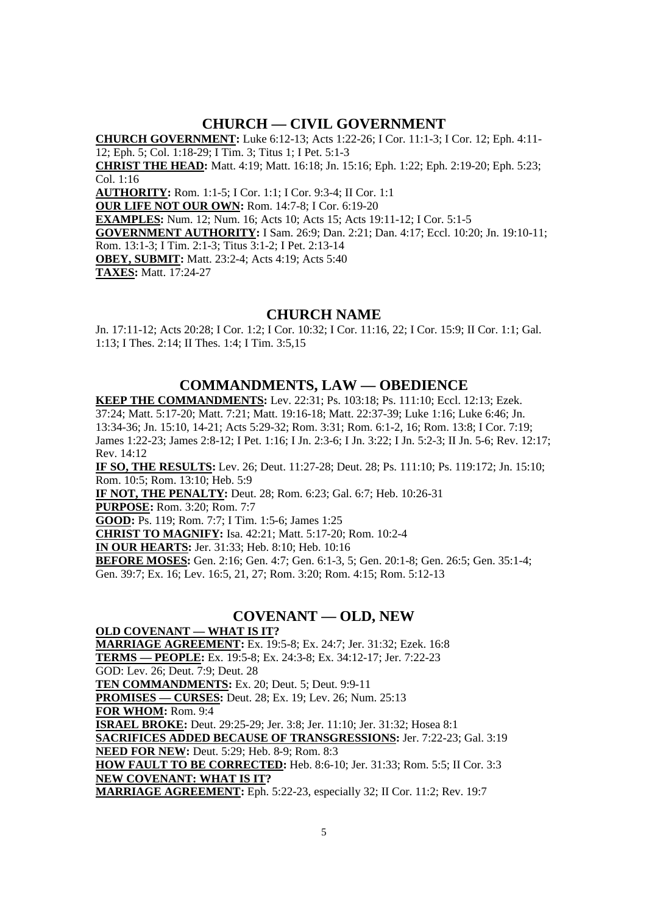### **CHURCH — CIVIL GOVERNMENT**

**CHURCH GOVERNMENT:** Luke 6:12-13; Acts 1:22-26; I Cor. 11:1-3; I Cor. 12; Eph. 4:11- 12; Eph. 5; Col. 1:18-29; I Tim. 3; Titus 1; I Pet. 5:1-3 **CHRIST THE HEAD:** Matt. 4:19; Matt. 16:18; Jn. 15:16; Eph. 1:22; Eph. 2:19-20; Eph. 5:23; Col. 1:16 **AUTHORITY:** Rom. 1:1-5; I Cor. 1:1; I Cor. 9:3-4; II Cor. 1:1 **OUR LIFE NOT OUR OWN:** Rom. 14:7-8; I Cor. 6:19-20 **EXAMPLES:** Num. 12; Num. 16; Acts 10; Acts 15; Acts 19:11-12; I Cor. 5:1-5 **GOVERNMENT AUTHORITY:** I Sam. 26:9; Dan. 2:21; Dan. 4:17; Eccl. 10:20; Jn. 19:10-11; Rom. 13:1-3; I Tim. 2:1-3; Titus 3:1-2; I Pet. 2:13-14 **OBEY, SUBMIT:** Matt. 23:2-4; Acts 4:19; Acts 5:40 **TAXES:** Matt. 17:24-27

#### **CHURCH NAME**

Jn. 17:11-12; Acts 20:28; I Cor. 1:2; I Cor. 10:32; I Cor. 11:16, 22; I Cor. 15:9; II Cor. 1:1; Gal. 1:13; I Thes. 2:14; II Thes. 1:4; I Tim. 3:5,15

#### **COMMANDMENTS, LAW — OBEDIENCE**

**KEEP THE COMMANDMENTS:** Lev. 22:31; Ps. 103:18; Ps. 111:10; Eccl. 12:13; Ezek. 37:24; Matt. 5:17-20; Matt. 7:21; Matt. 19:16-18; Matt. 22:37-39; Luke 1:16; Luke 6:46; Jn. 13:34-36; Jn. 15:10, 14-21; Acts 5:29-32; Rom. 3:31; Rom. 6:1-2, 16; Rom. 13:8; I Cor. 7:19; James 1:22-23; James 2:8-12; I Pet. 1:16; I Jn. 2:3-6; I Jn. 3:22; I Jn. 5:2-3; II Jn. 5-6; Rev. 12:17; Rev. 14:12

**IF SO, THE RESULTS:** Lev. 26; Deut. 11:27-28; Deut. 28; Ps. 111:10; Ps. 119:172; Jn. 15:10; Rom. 10:5; Rom. 13:10; Heb. 5:9

**IF NOT, THE PENALTY:** Deut. 28; Rom. 6:23; Gal. 6:7; Heb. 10:26-31

**PURPOSE:** Rom. 3:20; Rom. 7:7

**GOOD:** Ps. 119; Rom. 7:7; I Tim. 1:5-6; James 1:25

**CHRIST TO MAGNIFY:** Isa. 42:21; Matt. 5:17-20; Rom. 10:2-4

**IN OUR HEARTS:** Jer. 31:33; Heb. 8:10; Heb. 10:16

**BEFORE MOSES:** Gen. 2:16; Gen. 4:7; Gen. 6:1-3, 5; Gen. 20:1-8; Gen. 26:5; Gen. 35:1-4; Gen. 39:7; Ex. 16; Lev. 16:5, 21, 27; Rom. 3:20; Rom. 4:15; Rom. 5:12-13

#### **COVENANT — OLD, NEW**

**OLD COVENANT — WHAT IS IT? MARRIAGE AGREEMENT:** Ex. 19:5-8; Ex. 24:7; Jer. 31:32; Ezek. 16:8 **TERMS — PEOPLE:** Ex. 19:5-8; Ex. 24:3-8; Ex. 34:12-17; Jer. 7:22-23 GOD: Lev. 26; Deut. 7:9; Deut. 28 **TEN COMMANDMENTS:** Ex. 20; Deut. 5; Deut. 9:9-11 **PROMISES — CURSES:** Deut. 28; Ex. 19; Lev. 26; Num. 25:13 **FOR WHOM:** Rom. 9:4 **ISRAEL BROKE:** Deut. 29:25-29; Jer. 3:8; Jer. 11:10; Jer. 31:32; Hosea 8:1 **SACRIFICES ADDED BECAUSE OF TRANSGRESSIONS:** Jer. 7:22-23; Gal. 3:19 **NEED FOR NEW:** Deut. 5:29; Heb. 8-9; Rom. 8:3 **HOW FAULT TO BE CORRECTED:** Heb. 8:6-10; Jer. 31:33; Rom. 5:5; II Cor. 3:3 **NEW COVENANT: WHAT IS IT? MARRIAGE AGREEMENT:** Eph. 5:22-23, especially 32; II Cor. 11:2; Rev. 19:7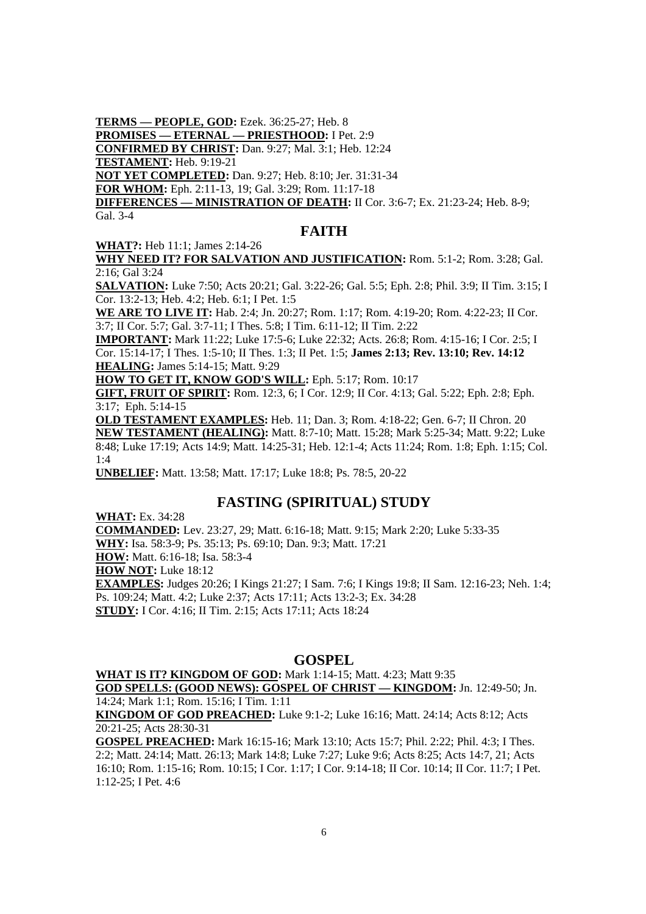**TERMS — PEOPLE, GOD:** Ezek. 36:25-27; Heb. 8

**PROMISES — ETERNAL — PRIESTHOOD:** I Pet. 2:9

**CONFIRMED BY CHRIST:** Dan. 9:27; Mal. 3:1; Heb. 12:24

**TESTAMENT:** Heb. 9:19-21

**NOT YET COMPLETED:** Dan. 9:27; Heb. 8:10; Jer. 31:31-34

**FOR WHOM:** Eph. 2:11-13, 19; Gal. 3:29; Rom. 11:17-18

**DIFFERENCES — MINISTRATION OF DEATH:** II Cor. 3:6-7; Ex. 21:23-24; Heb. 8-9; Gal. 3-4

# **FAITH**

**WHAT?:** Heb 11:1; James 2:14-26 **WHY NEED IT? FOR SALVATION AND JUSTIFICATION:** Rom. 5:1-2; Rom. 3:28; Gal. 2:16; Gal 3:24

**SALVATION:** Luke 7:50; Acts 20:21; Gal. 3:22-26; Gal. 5:5; Eph. 2:8; Phil. 3:9; II Tim. 3:15; I Cor. 13:2-13; Heb. 4:2; Heb. 6:1; I Pet. 1:5

**WE ARE TO LIVE IT:** Hab. 2:4; Jn. 20:27; Rom. 1:17; Rom. 4:19-20; Rom. 4:22-23; II Cor. 3:7; II Cor. 5:7; Gal. 3:7-11; I Thes. 5:8; I Tim. 6:11-12; II Tim. 2:22

**IMPORTANT:** Mark 11:22; Luke 17:5-6; Luke 22:32; Acts. 26:8; Rom. 4:15-16; I Cor. 2:5; I Cor. 15:14-17; I Thes. 1:5-10; II Thes. 1:3; II Pet. 1:5; **James 2:13; Rev. 13:10; Rev. 14:12 HEALING:** James 5:14-15; Matt. 9:29

**HOW TO GET IT, KNOW GOD'S WILL:** Eph. 5:17; Rom. 10:17

**GIFT, FRUIT OF SPIRIT:** Rom. 12:3, 6; I Cor. 12:9; II Cor. 4:13; Gal. 5:22; Eph. 2:8; Eph. 3:17; Eph. 5:14-15

**OLD TESTAMENT EXAMPLES:** Heb. 11; Dan. 3; Rom. 4:18-22; Gen. 6-7; II Chron. 20 **NEW TESTAMENT (HEALING):** Matt. 8:7-10; Matt. 15:28; Mark 5:25-34; Matt. 9:22; Luke 8:48; Luke 17:19; Acts 14:9; Matt. 14:25-31; Heb. 12:1-4; Acts 11:24; Rom. 1:8; Eph. 1:15; Col.  $1.4$ 

**UNBELIEF:** Matt. 13:58; Matt. 17:17; Luke 18:8; Ps. 78:5, 20-22

# **FASTING (SPIRITUAL) STUDY**

**WHAT:** Ex. 34:28

**COMMANDED:** Lev. 23:27, 29; Matt. 6:16-18; Matt. 9:15; Mark 2:20; Luke 5:33-35 **WHY:** Isa. 58:3-9; Ps. 35:13; Ps. 69:10; Dan. 9:3; Matt. 17:21 **HOW:** Matt. 6:16-18; Isa. 58:3-4 **HOW NOT: Luke 18:12 EXAMPLES:** Judges 20:26; I Kings 21:27; I Sam. 7:6; I Kings 19:8; II Sam. 12:16-23; Neh. 1:4; Ps. 109:24; Matt. 4:2; Luke 2:37; Acts 17:11; Acts 13:2-3; Ex. 34:28 **STUDY:** I Cor. 4:16; II Tim. 2:15; Acts 17:11; Acts 18:24

# **GOSPEL**

#### **WHAT IS IT? KINGDOM OF GOD:** Mark 1:14-15; Matt. 4:23; Matt 9:35 **GOD SPELLS: (GOOD NEWS): GOSPEL OF CHRIST — KINGDOM:** Jn. 12:49-50; Jn.

14:24; Mark 1:1; Rom. 15:16; I Tim. 1:11

**KINGDOM OF GOD PREACHED:** Luke 9:1-2; Luke 16:16; Matt. 24:14; Acts 8:12; Acts 20:21-25; Acts 28:30-31

**GOSPEL PREACHED:** Mark 16:15-16; Mark 13:10; Acts 15:7; Phil. 2:22; Phil. 4:3; I Thes. 2:2; Matt. 24:14; Matt. 26:13; Mark 14:8; Luke 7:27; Luke 9:6; Acts 8:25; Acts 14:7, 21; Acts 16:10; Rom. 1:15-16; Rom. 10:15; I Cor. 1:17; I Cor. 9:14-18; II Cor. 10:14; II Cor. 11:7; I Pet. 1:12-25; I Pet. 4:6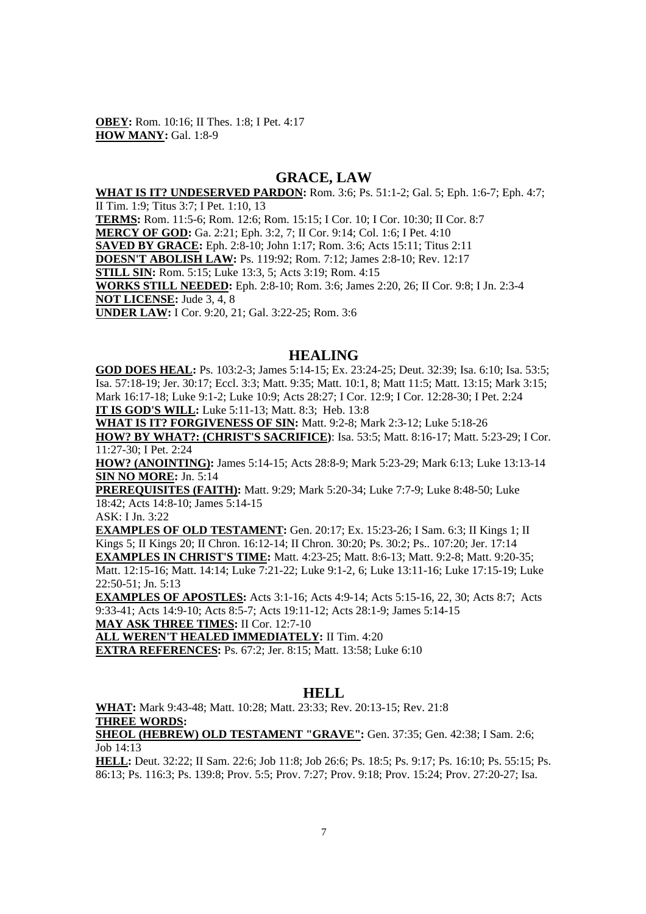**OBEY:** Rom. 10:16; II Thes. 1:8; I Pet. 4:17 **HOW MANY:** Gal. 1:8-9

#### **GRACE, LAW**

**WHAT IS IT? UNDESERVED PARDON:** Rom. 3:6; Ps. 51:1-2; Gal. 5; Eph. 1:6-7; Eph. 4:7; II Tim. 1:9; Titus 3:7; I Pet. 1:10, 13

**TERMS:** Rom. 11:5-6; Rom. 12:6; Rom. 15:15; I Cor. 10; I Cor. 10:30; II Cor. 8:7

**MERCY OF GOD:** Ga. 2:21; Eph. 3:2, 7; II Cor. 9:14; Col. 1:6; I Pet. 4:10

**SAVED BY GRACE:** Eph. 2:8-10; John 1:17; Rom. 3:6; Acts 15:11; Titus 2:11

**DOESN'T ABOLISH LAW:** Ps. 119:92; Rom. 7:12; James 2:8-10; Rev. 12:17

**STILL SIN:** Rom. 5:15; Luke 13:3, 5; Acts 3:19; Rom. 4:15

**WORKS STILL NEEDED:** Eph. 2:8-10; Rom. 3:6; James 2:20, 26; II Cor. 9:8; I Jn. 2:3-4 **NOT LICENSE:** Jude 3, 4, 8

**UNDER LAW:** I Cor. 9:20, 21; Gal. 3:22-25; Rom. 3:6

#### **HEALING**

**GOD DOES HEAL:** Ps. 103:2-3; James 5:14-15; Ex. 23:24-25; Deut. 32:39; Isa. 6:10; Isa. 53:5; Isa. 57:18-19; Jer. 30:17; Eccl. 3:3; Matt. 9:35; Matt. 10:1, 8; Matt 11:5; Matt. 13:15; Mark 3:15; Mark 16:17-18; Luke 9:1-2; Luke 10:9; Acts 28:27; I Cor. 12:9; I Cor. 12:28-30; I Pet. 2:24 **IT IS GOD'S WILL:** Luke 5:11-13; Matt. 8:3; Heb. 13:8

**WHAT IS IT? FORGIVENESS OF SIN:** Matt. 9:2-8; Mark 2:3-12; Luke 5:18-26

**HOW? BY WHAT?: (CHRIST'S SACRIFICE)**: Isa. 53:5; Matt. 8:16-17; Matt. 5:23-29; I Cor. 11:27-30; I Pet. 2:24

**HOW? (ANOINTING):** James 5:14-15; Acts 28:8-9; Mark 5:23-29; Mark 6:13; Luke 13:13-14 **SIN NO MORE:** Jn. 5:14

**PREREQUISITES (FAITH):** Matt. 9:29; Mark 5:20-34; Luke 7:7-9; Luke 8:48-50; Luke 18:42; Acts 14:8-10; James 5:14-15

ASK: I Jn. 3:22

**EXAMPLES OF OLD TESTAMENT:** Gen. 20:17: Ex. 15:23-26: I Sam. 6:3: II Kings 1: II Kings 5; II Kings 20; II Chron. 16:12-14; II Chron. 30:20; Ps. 30:2; Ps.. 107:20; Jer. 17:14 **EXAMPLES IN CHRIST'S TIME:** Matt. 4:23-25; Matt. 8:6-13; Matt. 9:2-8; Matt. 9:20-35;

Matt. 12:15-16; Matt. 14:14; Luke 7:21-22; Luke 9:1-2, 6; Luke 13:11-16; Luke 17:15-19; Luke 22:50-51; Jn. 5:13

**EXAMPLES OF APOSTLES:** Acts 3:1-16; Acts 4:9-14; Acts 5:15-16, 22, 30; Acts 8:7; Acts 9:33-41; Acts 14:9-10; Acts 8:5-7; Acts 19:11-12; Acts 28:1-9; James 5:14-15

**MAY ASK THREE TIMES:** II Cor. 12:7-10

**ALL WEREN'T HEALED IMMEDIATELY:** II Tim. 4:20

**EXTRA REFERENCES:** Ps. 67:2; Jer. 8:15; Matt. 13:58; Luke 6:10

#### **HELL**

**WHAT:** Mark 9:43-48; Matt. 10:28; Matt. 23:33; Rev. 20:13-15; Rev. 21:8 **THREE WORDS:**

**SHEOL (HEBREW) OLD TESTAMENT "GRAVE":** Gen. 37:35; Gen. 42:38; I Sam. 2:6; Job 14:13

**HELL:** Deut. 32:22; II Sam. 22:6; Job 11:8; Job 26:6; Ps. 18:5; Ps. 9:17; Ps. 16:10; Ps. 55:15; Ps. 86:13; Ps. 116:3; Ps. 139:8; Prov. 5:5; Prov. 7:27; Prov. 9:18; Prov. 15:24; Prov. 27:20-27; Isa.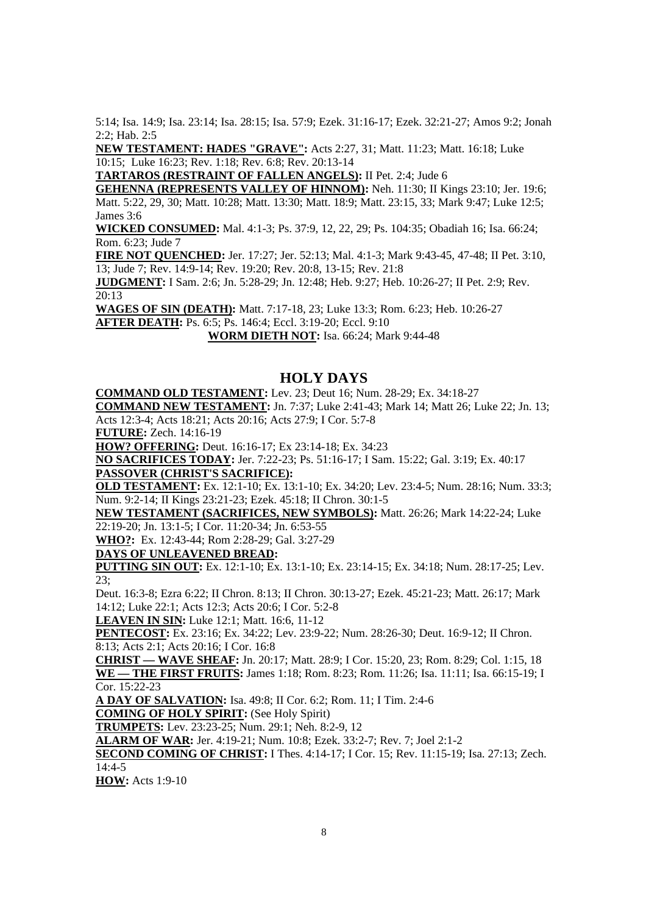5:14; Isa. 14:9; Isa. 23:14; Isa. 28:15; Isa. 57:9; Ezek. 31:16-17; Ezek. 32:21-27; Amos 9:2; Jonah 2:2; Hab. 2:5

**NEW TESTAMENT: HADES "GRAVE":** Acts 2:27, 31; Matt. 11:23; Matt. 16:18; Luke 10:15; Luke 16:23; Rev. 1:18; Rev. 6:8; Rev. 20:13-14

**TARTAROS (RESTRAINT OF FALLEN ANGELS):** II Pet. 2:4; Jude 6

**GEHENNA (REPRESENTS VALLEY OF HINNOM):** Neh. 11:30; II Kings 23:10; Jer. 19:6; Matt. 5:22, 29, 30; Matt. 10:28; Matt. 13:30; Matt. 18:9; Matt. 23:15, 33; Mark 9:47; Luke 12:5; James 3:6

**WICKED CONSUMED:** Mal. 4:1-3; Ps. 37:9, 12, 22, 29; Ps. 104:35; Obadiah 16; Isa. 66:24; Rom. 6:23; Jude 7

**FIRE NOT QUENCHED:** Jer. 17:27; Jer. 52:13; Mal. 4:1-3; Mark 9:43-45, 47-48; II Pet. 3:10, 13; Jude 7; Rev. 14:9-14; Rev. 19:20; Rev. 20:8, 13-15; Rev. 21:8

**JUDGMENT:** I Sam. 2:6; Jn. 5:28-29; Jn. 12:48; Heb. 9:27; Heb. 10:26-27; II Pet. 2:9; Rev. 20:13

**WAGES OF SIN (DEATH):** Matt. 7:17-18, 23; Luke 13:3; Rom. 6:23; Heb. 10:26-27

**AFTER DEATH:** Ps. 6:5; Ps. 146:4; Eccl. 3:19-20; Eccl. 9:10

**WORM DIETH NOT:** Isa. 66:24; Mark 9:44-48

#### **HOLY DAYS**

**COMMAND OLD TESTAMENT:** Lev. 23; Deut 16; Num. 28-29; Ex. 34:18-27

**COMMAND NEW TESTAMENT:** Jn. 7:37; Luke 2:41-43; Mark 14; Matt 26; Luke 22; Jn. 13; Acts 12:3-4; Acts 18:21; Acts 20:16; Acts 27:9; I Cor. 5:7-8

**FUTURE:** Zech. 14:16-19

**HOW? OFFERING:** Deut. 16:16-17; Ex 23:14-18; Ex. 34:23

**NO SACRIFICES TODAY:** Jer. 7:22-23; Ps. 51:16-17; I Sam. 15:22; Gal. 3:19; Ex. 40:17 **PASSOVER (CHRIST'S SACRIFICE):**

**OLD TESTAMENT:** Ex. 12:1-10; Ex. 13:1-10; Ex. 34:20; Lev. 23:4-5; Num. 28:16; Num. 33:3; Num. 9:2-14; II Kings 23:21-23; Ezek. 45:18; II Chron. 30:1-5

**NEW TESTAMENT (SACRIFICES, NEW SYMBOLS):** Matt. 26:26; Mark 14:22-24; Luke 22:19-20; Jn. 13:1-5; I Cor. 11:20-34; Jn. 6:53-55

**WHO?:** Ex. 12:43-44; Rom 2:28-29; Gal. 3:27-29

**DAYS OF UNLEAVENED BREAD:**

**PUTTING SIN OUT:** Ex. 12:1-10; Ex. 13:1-10; Ex. 23:14-15; Ex. 34:18; Num. 28:17-25; Lev.  $23$ 

Deut. 16:3-8; Ezra 6:22; II Chron. 8:13; II Chron. 30:13-27; Ezek. 45:21-23; Matt. 26:17; Mark 14:12; Luke 22:1; Acts 12:3; Acts 20:6; I Cor. 5:2-8

**LEAVEN IN SIN:** Luke 12:1; Matt. 16:6, 11-12

**PENTECOST:** Ex. 23:16; Ex. 34:22; Lev. 23:9-22; Num. 28:26-30; Deut. 16:9-12; II Chron. 8:13; Acts 2:1; Acts 20:16; I Cor. 16:8

**CHRIST — WAVE SHEAF:** Jn. 20:17; Matt. 28:9; I Cor. 15:20, 23; Rom. 8:29; Col. 1:15, 18 **WE — THE FIRST FRUITS:** James 1:18; Rom. 8:23; Rom. 11:26; Isa. 11:11; Isa. 66:15-19; I Cor. 15:22-23

**A DAY OF SALVATION:** Isa. 49:8; II Cor. 6:2; Rom. 11; I Tim. 2:4-6

**COMING OF HOLY SPIRIT:** (See Holy Spirit)

**TRUMPETS:** Lev. 23:23-25; Num. 29:1; Neh. 8:2-9, 12

**ALARM OF WAR:** Jer. 4:19-21; Num. 10:8; Ezek. 33:2-7; Rev. 7; Joel 2:1-2

**SECOND COMING OF CHRIST:** I Thes. 4:14-17; I Cor. 15; Rev. 11:15-19; Isa. 27:13; Zech. 14:4-5

**HOW:** Acts 1:9-10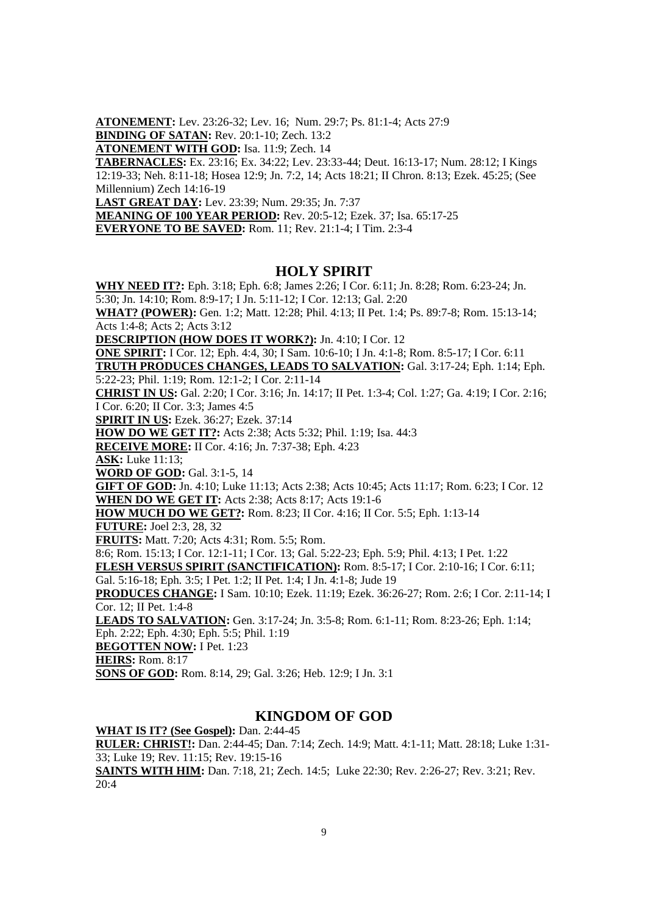**ATONEMENT:** Lev. 23:26-32; Lev. 16; Num. 29:7; Ps. 81:1-4; Acts 27:9 **BINDING OF SATAN:** Rev. 20:1-10; Zech. 13:2

**ATONEMENT WITH GOD:** Isa. 11:9; Zech. 14

**TABERNACLES:** Ex. 23:16; Ex. 34:22; Lev. 23:33-44; Deut. 16:13-17; Num. 28:12; I Kings 12:19-33; Neh. 8:11-18; Hosea 12:9; Jn. 7:2, 14; Acts 18:21; II Chron. 8:13; Ezek. 45:25; (See Millennium) Zech 14:16-19

**LAST GREAT DAY:** Lev. 23:39; Num. 29:35; Jn. 7:37

**MEANING OF 100 YEAR PERIOD:** Rev. 20:5-12; Ezek. 37; Isa. 65:17-25

**EVERYONE TO BE SAVED:** Rom. 11; Rev. 21:1-4; I Tim. 2:3-4

#### **HOLY SPIRIT**

**WHY NEED IT?:** Eph. 3:18; Eph. 6:8; James 2:26; I Cor. 6:11; Jn. 8:28; Rom. 6:23-24; Jn.

5:30; Jn. 14:10; Rom. 8:9-17; I Jn. 5:11-12; I Cor. 12:13; Gal. 2:20

**WHAT? (POWER):** Gen. 1:2; Matt. 12:28; Phil. 4:13; II Pet. 1:4; Ps. 89:7-8; Rom. 15:13-14; Acts 1:4-8; Acts 2; Acts 3:12

**DESCRIPTION (HOW DOES IT WORK?):** Jn. 4:10; I Cor. 12

**ONE SPIRIT:** I Cor. 12; Eph. 4:4, 30; I Sam. 10:6-10; I Jn. 4:1-8; Rom. 8:5-17; I Cor. 6:11 **TRUTH PRODUCES CHANGES, LEADS TO SALVATION:** Gal. 3:17-24; Eph. 1:14; Eph. 5:22-23; Phil. 1:19; Rom. 12:1-2; I Cor. 2:11-14

**CHRIST IN US:** Gal. 2:20; I Cor. 3:16; Jn. 14:17; II Pet. 1:3-4; Col. 1:27; Ga. 4:19; I Cor. 2:16; I Cor. 6:20; II Cor. 3:3; James 4:5

**SPIRIT IN US:** Ezek. 36:27; Ezek. 37:14

**HOW DO WE GET IT?:** Acts 2:38; Acts 5:32; Phil. 1:19; Isa. 44:3

**RECEIVE MORE:** II Cor. 4:16; Jn. 7:37-38; Eph. 4:23

**ASK:** Luke 11:13;

**WORD OF GOD:** Gal. 3:1-5, 14

**GIFT OF GOD:** Jn. 4:10; Luke 11:13; Acts 2:38; Acts 10:45; Acts 11:17; Rom. 6:23; I Cor. 12 **WHEN DO WE GET IT:** Acts 2:38; Acts 8:17; Acts 19:1-6

**HOW MUCH DO WE GET?:** Rom. 8:23; II Cor. 4:16; II Cor. 5:5; Eph. 1:13-14

**FUTURE:** Joel 2:3, 28, 32

**FRUITS:** Matt. 7:20; Acts 4:31; Rom. 5:5; Rom.

8:6; Rom. 15:13; I Cor. 12:1-11; I Cor. 13; Gal. 5:22-23; Eph. 5:9; Phil. 4:13; I Pet. 1:22

**FLESH VERSUS SPIRIT (SANCTIFICATION):** Rom. 8:5-17; I Cor. 2:10-16; I Cor. 6:11; Gal. 5:16-18; Eph. 3:5; I Pet. 1:2; II Pet. 1:4; I Jn. 4:1-8; Jude 19

**PRODUCES CHANGE:** I Sam. 10:10; Ezek. 11:19; Ezek. 36:26-27; Rom. 2:6; I Cor. 2:11-14; I Cor. 12; II Pet. 1:4-8

**LEADS TO SALVATION:** Gen. 3:17-24; Jn. 3:5-8; Rom. 6:1-11; Rom. 8:23-26; Eph. 1:14; Eph. 2:22; Eph. 4:30; Eph. 5:5; Phil. 1:19

**BEGOTTEN NOW:** I Pet. 1:23

**HEIRS:** Rom. 8:17

**SONS OF GOD:** Rom. 8:14, 29; Gal. 3:26; Heb. 12:9; I Jn. 3:1

#### **KINGDOM OF GOD**

**WHAT IS IT? (See Gospel):** Dan. 2:44-45

**RULER: CHRIST!:** Dan. 2:44-45; Dan. 7:14; Zech. 14:9; Matt. 4:1-11; Matt. 28:18; Luke 1:31- 33; Luke 19; Rev. 11:15; Rev. 19:15-16

**SAINTS WITH HIM:** Dan. 7:18, 21; Zech. 14:5; Luke 22:30; Rev. 2:26-27; Rev. 3:21; Rev. 20:4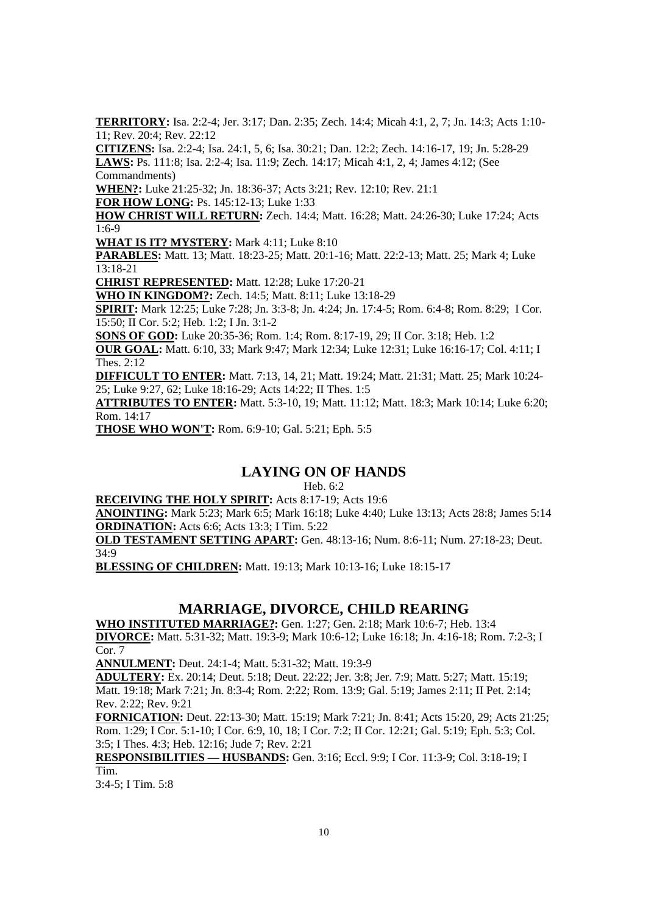**TERRITORY:** Isa. 2:2-4; Jer. 3:17; Dan. 2:35; Zech. 14:4; Micah 4:1, 2, 7; Jn. 14:3; Acts 1:10- 11; Rev. 20:4; Rev. 22:12

**CITIZENS:** Isa. 2:2-4; Isa. 24:1, 5, 6; Isa. 30:21; Dan. 12:2; Zech. 14:16-17, 19; Jn. 5:28-29 **LAWS:** Ps. 111:8; Isa. 2:2-4; Isa. 11:9; Zech. 14:17; Micah 4:1, 2, 4; James 4:12; (See Commandments)

**WHEN?:** Luke 21:25-32; Jn. 18:36-37; Acts 3:21; Rev. 12:10; Rev. 21:1

**FOR HOW LONG:** Ps. 145:12-13; Luke 1:33

**HOW CHRIST WILL RETURN:** Zech. 14:4; Matt. 16:28; Matt. 24:26-30; Luke 17:24; Acts 1:6-9

WHAT IS IT? MYSTERY: Mark 4:11; Luke 8:10

**PARABLES:** Matt. 13; Matt. 18:23-25; Matt. 20:1-16; Matt. 22:2-13; Matt. 25; Mark 4; Luke 13:18-21

**CHRIST REPRESENTED:** Matt. 12:28; Luke 17:20-21

**WHO IN KINGDOM?:** Zech. 14:5; Matt. 8:11; Luke 13:18-29

**SPIRIT:** Mark 12:25; Luke 7:28; Jn. 3:3-8; Jn. 4:24; Jn. 17:4-5; Rom. 6:4-8; Rom. 8:29; I Cor. 15:50; II Cor. 5:2; Heb. 1:2; I Jn. 3:1-2

**SONS OF GOD:** Luke 20:35-36; Rom. 1:4; Rom. 8:17-19, 29; II Cor. 3:18; Heb. 1:2

**OUR GOAL:** Matt. 6:10, 33; Mark 9:47; Mark 12:34; Luke 12:31; Luke 16:16-17; Col. 4:11; I Thes. 2:12

**DIFFICULT TO ENTER:** Matt. 7:13, 14, 21; Matt. 19:24; Matt. 21:31; Matt. 25; Mark 10:24- 25; Luke 9:27, 62; Luke 18:16-29; Acts 14:22; II Thes. 1:5

**ATTRIBUTES TO ENTER:** Matt. 5:3-10, 19; Matt. 11:12; Matt. 18:3; Mark 10:14; Luke 6:20; Rom. 14:17

**THOSE WHO WON'T:** Rom. 6:9-10; Gal. 5:21; Eph. 5:5

# **LAYING ON OF HANDS**

Heb. 6:2

**RECEIVING THE HOLY SPIRIT:** Acts 8:17-19; Acts 19:6

**ANOINTING:** Mark 5:23; Mark 6:5; Mark 16:18; Luke 4:40; Luke 13:13; Acts 28:8; James 5:14 **ORDINATION:** Acts 6:6; Acts 13:3; I Tim. 5:22

**OLD TESTAMENT SETTING APART:** Gen. 48:13-16; Num. 8:6-11; Num. 27:18-23; Deut. 34:9

**BLESSING OF CHILDREN:** Matt. 19:13; Mark 10:13-16; Luke 18:15-17

# **MARRIAGE, DIVORCE, CHILD REARING**

**WHO INSTITUTED MARRIAGE?:** Gen. 1:27; Gen. 2:18; Mark 10:6-7; Heb. 13:4 **DIVORCE:** Matt. 5:31-32; Matt. 19:3-9; Mark 10:6-12; Luke 16:18; Jn. 4:16-18; Rom. 7:2-3; I Cor. 7

**ANNULMENT:** Deut. 24:1-4; Matt. 5:31-32; Matt. 19:3-9

**ADULTERY:** Ex. 20:14; Deut. 5:18; Deut. 22:22; Jer. 3:8; Jer. 7:9; Matt. 5:27; Matt. 15:19; Matt. 19:18; Mark 7:21; Jn. 8:3-4; Rom. 2:22; Rom. 13:9; Gal. 5:19; James 2:11; II Pet. 2:14; Rev. 2:22; Rev. 9:21

**FORNICATION:** Deut. 22:13-30; Matt. 15:19; Mark 7:21; Jn. 8:41; Acts 15:20, 29; Acts 21:25; Rom. 1:29; I Cor. 5:1-10; I Cor. 6:9, 10, 18; I Cor. 7:2; II Cor. 12:21; Gal. 5:19; Eph. 5:3; Col. 3:5; I Thes. 4:3; Heb. 12:16; Jude 7; Rev. 2:21

**RESPONSIBILITIES — HUSBANDS:** Gen. 3:16; Eccl. 9:9; I Cor. 11:3-9; Col. 3:18-19; I Tim.

3:4-5; I Tim. 5:8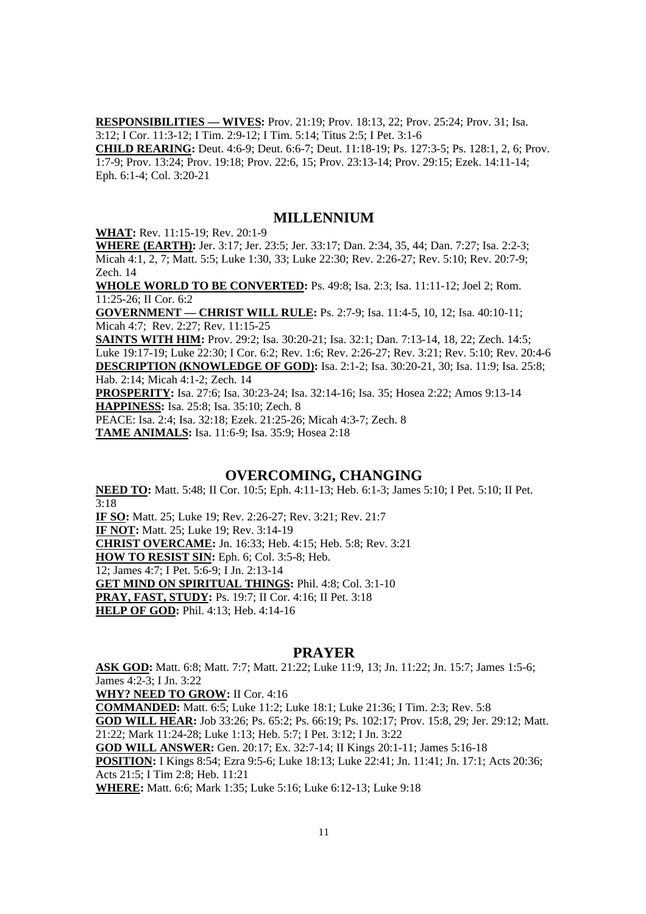**RESPONSIBILITIES — WIVES:** Prov. 21:19; Prov. 18:13, 22; Prov. 25:24; Prov. 31; Isa. 3:12; I Cor. 11:3-12; I Tim. 2:9-12; I Tim. 5:14; Titus 2:5; I Pet. 3:1-6

**CHILD REARING:** Deut. 4:6-9; Deut. 6:6-7; Deut. 11:18-19; Ps. 127:3-5; Ps. 128:1, 2, 6; Prov. 1:7-9; Prov. 13:24; Prov. 19:18; Prov. 22:6, 15; Prov. 23:13-14; Prov. 29:15; Ezek. 14:11-14; Eph. 6:1-4; Col. 3:20-21

#### **MILLENNIUM**

**WHAT:** Rev. 11:15-19; Rev. 20:1-9

**WHERE (EARTH):** Jer. 3:17; Jer. 23:5; Jer. 33:17; Dan. 2:34, 35, 44; Dan. 7:27; Isa. 2:2-3; Micah 4:1, 2, 7; Matt. 5:5; Luke 1:30, 33; Luke 22:30; Rev. 2:26-27; Rev. 5:10; Rev. 20:7-9; Zech. 14

**WHOLE WORLD TO BE CONVERTED:** Ps. 49:8; Isa. 2:3; Isa. 11:11-12; Joel 2; Rom. 11:25-26; II Cor. 6:2

**GOVERNMENT — CHRIST WILL RULE:** Ps. 2:7-9; Isa. 11:4-5, 10, 12; Isa. 40:10-11; Micah 4:7; Rev. 2:27; Rev. 11:15-25

**SAINTS WITH HIM:** Prov. 29:2; Isa. 30:20-21; Isa. 32:1; Dan. 7:13-14, 18, 22; Zech. 14:5; Luke 19:17-19; Luke 22:30; I Cor. 6:2; Rev. 1:6; Rev. 2:26-27; Rev. 3:21; Rev. 5:10; Rev. 20:4-6 **DESCRIPTION (KNOWLEDGE OF GOD):** Isa. 2:1-2; Isa. 30:20-21, 30; Isa. 11:9; Isa. 25:8; Hab. 2:14; Micah 4:1-2; Zech. 14

**PROSPERITY:** Isa. 27:6; Isa. 30:23-24; Isa. 32:14-16; Isa. 35; Hosea 2:22; Amos 9:13-14 **HAPPINESS:** Isa. 25:8; Isa. 35:10; Zech. 8

PEACE: Isa. 2:4; Isa. 32:18; Ezek. 21:25-26; Micah 4:3-7; Zech. 8 **TAME ANIMALS:** Isa. 11:6-9; Isa. 35:9; Hosea 2:18

#### **OVERCOMING, CHANGING**

**NEED TO:** Matt. 5:48; II Cor. 10:5; Eph. 4:11-13; Heb. 6:1-3; James 5:10; I Pet. 5:10; II Pet. 3:18

**IF SO:** Matt. 25; Luke 19; Rev. 2:26-27; Rev. 3:21; Rev. 21:7 **IF NOT:** Matt. 25; Luke 19; Rev. 3:14-19 **CHRIST OVERCAME:** Jn. 16:33; Heb. 4:15; Heb. 5:8; Rev. 3:21 **HOW TO RESIST SIN:** Eph. 6; Col. 3:5-8; Heb. 12; James 4:7; I Pet. 5:6-9; I Jn. 2:13-14 **GET MIND ON SPIRITUAL THINGS:** Phil. 4:8; Col. 3:1-10 **PRAY, FAST, STUDY:** Ps. 19:7; II Cor. 4:16; II Pet. 3:18 **HELP OF GOD: Phil. 4:13; Heb. 4:14-16** 

#### **PRAYER**

**ASK GOD:** Matt. 6:8; Matt. 7:7; Matt. 21:22; Luke 11:9, 13; Jn. 11:22; Jn. 15:7; James 1:5-6; James 4:2-3; I Jn. 3:22

**WHY? NEED TO GROW:** II Cor. 4:16

**COMMANDED:** Matt. 6:5; Luke 11:2; Luke 18:1; Luke 21:36; I Tim. 2:3; Rev. 5:8 **GOD WILL HEAR:** Job 33:26; Ps. 65:2; Ps. 66:19; Ps. 102:17; Prov. 15:8, 29; Jer. 29:12; Matt. 21:22; Mark 11:24-28; Luke 1:13; Heb. 5:7; I Pet. 3:12; I Jn. 3:22 **GOD WILL ANSWER:** Gen. 20:17; Ex. 32:7-14; II Kings 20:1-11; James 5:16-18

**POSITION:** I Kings 8:54; Ezra 9:5-6; Luke 18:13; Luke 22:41; Jn. 11:41; Jn. 17:1; Acts 20:36; Acts 21:5; I Tim 2:8; Heb. 11:21

**WHERE:** Matt. 6:6; Mark 1:35; Luke 5:16; Luke 6:12-13; Luke 9:18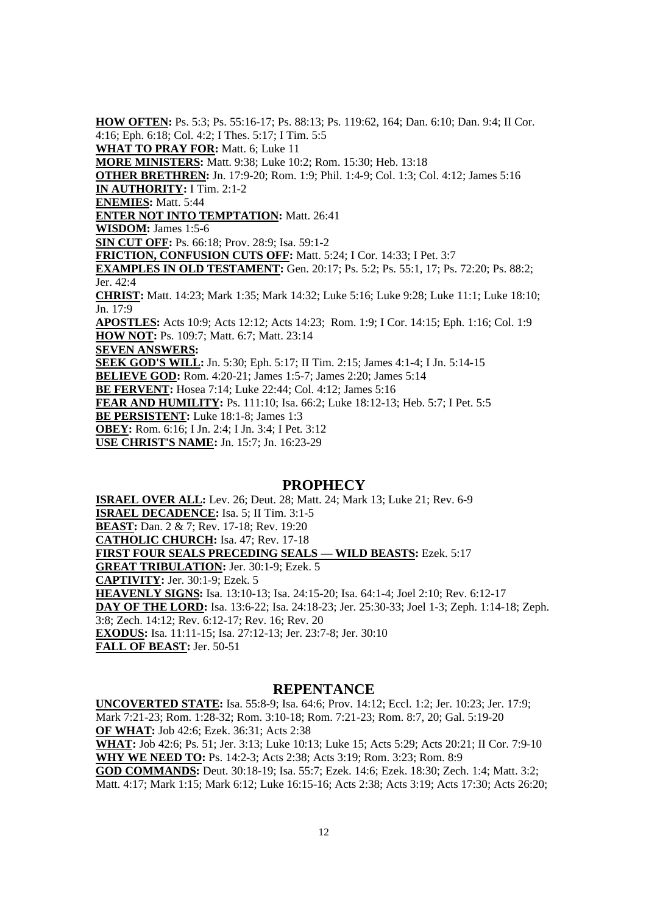**HOW OFTEN:** Ps. 5:3; Ps. 55:16-17; Ps. 88:13; Ps. 119:62, 164; Dan. 6:10; Dan. 9:4; II Cor. 4:16; Eph. 6:18; Col. 4:2; I Thes. 5:17; I Tim. 5:5 **WHAT TO PRAY FOR: Matt. 6; Luke 11 MORE MINISTERS:** Matt. 9:38; Luke 10:2; Rom. 15:30; Heb. 13:18 **OTHER BRETHREN:** Jn. 17:9-20; Rom. 1:9; Phil. 1:4-9; Col. 1:3; Col. 4:12; James 5:16 **IN AUTHORITY:** I Tim. 2:1-2 **ENEMIES:** Matt. 5:44 **ENTER NOT INTO TEMPTATION: Matt. 26:41 WISDOM:** James 1:5-6 **SIN CUT OFF:** Ps. 66:18; Prov. 28:9; Isa. 59:1-2 **FRICTION, CONFUSION CUTS OFF:** Matt. 5:24; I Cor. 14:33; I Pet. 3:7 **EXAMPLES IN OLD TESTAMENT:** Gen. 20:17; Ps. 5:2; Ps. 55:1, 17; Ps. 72:20; Ps. 88:2; Jer. 42:4 **CHRIST:** Matt. 14:23; Mark 1:35; Mark 14:32; Luke 5:16; Luke 9:28; Luke 11:1; Luke 18:10; Jn. 17:9 **APOSTLES:** Acts 10:9; Acts 12:12; Acts 14:23; Rom. 1:9; I Cor. 14:15; Eph. 1:16; Col. 1:9 **HOW NOT:** Ps. 109:7; Matt. 6:7; Matt. 23:14 **SEVEN ANSWERS: SEEK GOD'S WILL:** Jn. 5:30; Eph. 5:17; II Tim. 2:15; James 4:1-4; I Jn. 5:14-15 **BELIEVE GOD:** Rom. 4:20-21; James 1:5-7; James 2:20; James 5:14 **BE FERVENT:** Hosea 7:14; Luke 22:44; Col. 4:12; James 5:16 **FEAR AND HUMILITY:** Ps. 111:10; Isa. 66:2; Luke 18:12-13; Heb. 5:7; I Pet. 5:5 **BE PERSISTENT:** Luke 18:1-8; James 1:3 **OBEY:** Rom. 6:16; I Jn. 2:4; I Jn. 3:4; I Pet. 3:12 **USE CHRIST'S NAME:** Jn. 15:7; Jn. 16:23-29

#### **PROPHECY**

**ISRAEL OVER ALL:** Lev. 26; Deut. 28; Matt. 24; Mark 13; Luke 21; Rev. 6-9 **ISRAEL DECADENCE:** Isa. 5; II Tim. 3:1-5 **BEAST:** Dan. 2 & 7; Rev. 17-18; Rev. 19:20 **CATHOLIC CHURCH:** Isa. 47; Rev. 17-18 **FIRST FOUR SEALS PRECEDING SEALS — WILD BEASTS: Ezek. 5:17 GREAT TRIBULATION:** Jer. 30:1-9; Ezek. 5 **CAPTIVITY:** Jer. 30:1-9; Ezek. 5 **HEAVENLY SIGNS:** Isa. 13:10-13; Isa. 24:15-20; Isa. 64:1-4; Joel 2:10; Rev. 6:12-17 **DAY OF THE LORD:** Isa. 13:6-22; Isa. 24:18-23; Jer. 25:30-33; Joel 1-3; Zeph. 1:14-18; Zeph. 3:8; Zech. 14:12; Rev. 6:12-17; Rev. 16; Rev. 20 **EXODUS:** Isa. 11:11-15; Isa. 27:12-13; Jer. 23:7-8; Jer. 30:10 **FALL OF BEAST:** Jer. 50-51

#### **REPENTANCE**

**UNCOVERTED STATE:** Isa. 55:8-9; Isa. 64:6; Prov. 14:12; Eccl. 1:2; Jer. 10:23; Jer. 17:9; Mark 7:21-23; Rom. 1:28-32; Rom. 3:10-18; Rom. 7:21-23; Rom. 8:7, 20; Gal. 5:19-20 **OF WHAT:** Job 42:6; Ezek. 36:31; Acts 2:38 **WHAT:** Job 42:6; Ps. 51; Jer. 3:13; Luke 10:13; Luke 15; Acts 5:29; Acts 20:21; II Cor. 7:9-10 **WHY WE NEED TO:** Ps. 14:2-3; Acts 2:38; Acts 3:19; Rom. 3:23; Rom. 8:9 **GOD COMMANDS:** Deut. 30:18-19; Isa. 55:7; Ezek. 14:6; Ezek. 18:30; Zech. 1:4; Matt. 3:2;

Matt. 4:17; Mark 1:15; Mark 6:12; Luke 16:15-16; Acts 2:38; Acts 3:19; Acts 17:30; Acts 26:20;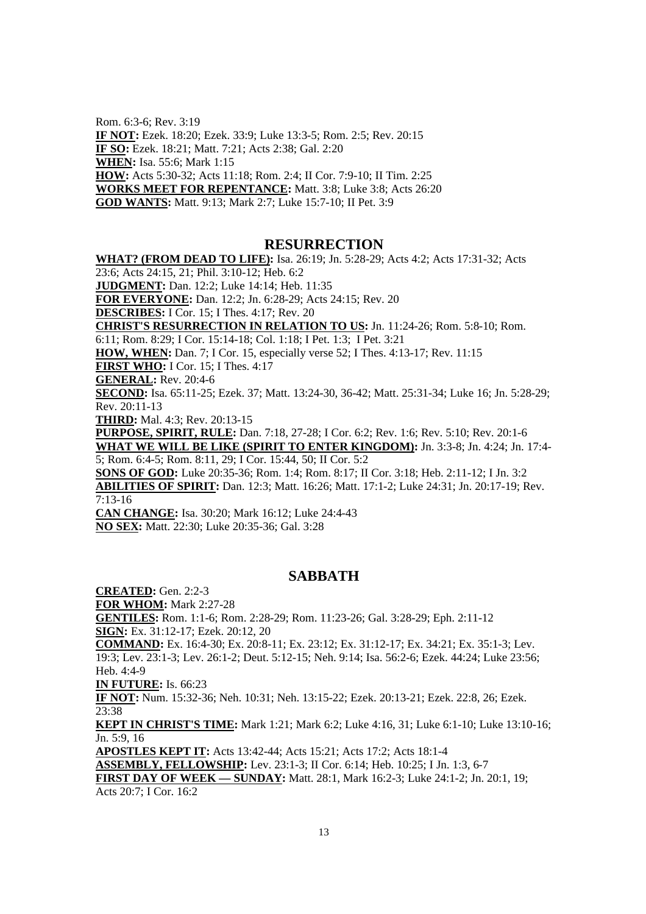Rom. 6:3-6; Rev. 3:19 **IF NOT:** Ezek. 18:20; Ezek. 33:9; Luke 13:3-5; Rom. 2:5; Rev. 20:15 **IF SO:** Ezek. 18:21; Matt. 7:21; Acts 2:38; Gal. 2:20 **WHEN:** Isa. 55:6; Mark 1:15 **HOW:** Acts 5:30-32; Acts 11:18; Rom. 2:4; II Cor. 7:9-10; II Tim. 2:25 **WORKS MEET FOR REPENTANCE:** Matt. 3:8; Luke 3:8; Acts 26:20 **GOD WANTS:** Matt. 9:13; Mark 2:7; Luke 15:7-10; II Pet. 3:9

#### **RESURRECTION**

**WHAT? (FROM DEAD TO LIFE):** Isa. 26:19; Jn. 5:28-29; Acts 4:2; Acts 17:31-32; Acts 23:6; Acts 24:15, 21; Phil. 3:10-12; Heb. 6:2

**JUDGMENT:** Dan. 12:2; Luke 14:14; Heb. 11:35

**FOR EVERYONE:** Dan. 12:2; Jn. 6:28-29; Acts 24:15; Rev. 20

**DESCRIBES:** I Cor. 15; I Thes. 4:17; Rev. 20

**CHRIST'S RESURRECTION IN RELATION TO US:** Jn. 11:24-26; Rom. 5:8-10; Rom.

6:11; Rom. 8:29; I Cor. 15:14-18; Col. 1:18; I Pet. 1:3; I Pet. 3:21

**HOW, WHEN:** Dan. 7; I Cor. 15, especially verse 52; I Thes. 4:13-17; Rev. 11:15

**FIRST WHO:** I Cor. 15; I Thes. 4:17

**GENERAL:** Rev. 20:4-6

**SECOND:** Isa. 65:11-25; Ezek. 37; Matt. 13:24-30, 36-42; Matt. 25:31-34; Luke 16; Jn. 5:28-29; Rev. 20:11-13

**THIRD:** Mal. 4:3; Rev. 20:13-15

**PURPOSE, SPIRIT, RULE:** Dan. 7:18, 27-28; I Cor. 6:2; Rev. 1:6; Rev. 5:10; Rev. 20:1-6 **WHAT WE WILL BE LIKE (SPIRIT TO ENTER KINGDOM):** Jn. 3:3-8; Jn. 4:24; Jn. 17:4- 5; Rom. 6:4-5; Rom. 8:11, 29; I Cor. 15:44, 50; II Cor. 5:2

**SONS OF GOD:** Luke 20:35-36; Rom. 1:4; Rom. 8:17; II Cor. 3:18; Heb. 2:11-12; I Jn. 3:2 **ABILITIES OF SPIRIT:** Dan. 12:3; Matt. 16:26; Matt. 17:1-2; Luke 24:31; Jn. 20:17-19; Rev. 7:13-16

**CAN CHANGE:** Isa. 30:20; Mark 16:12; Luke 24:4-43 **NO SEX:** Matt. 22:30; Luke 20:35-36; Gal. 3:28

#### **SABBATH**

**CREATED:** Gen. 2:2-3

**FOR WHOM:** Mark 2:27-28

**GENTILES:** Rom. 1:1-6; Rom. 2:28-29; Rom. 11:23-26; Gal. 3:28-29; Eph. 2:11-12 **SIGN:** Ex. 31:12-17; Ezek. 20:12, 20

**COMMAND:** Ex. 16:4-30; Ex. 20:8-11; Ex. 23:12; Ex. 31:12-17; Ex. 34:21; Ex. 35:1-3; Lev. 19:3; Lev. 23:1-3; Lev. 26:1-2; Deut. 5:12-15; Neh. 9:14; Isa. 56:2-6; Ezek. 44:24; Luke 23:56; Heb. 4:4-9

**IN FUTURE:** Is. 66:23

**IF NOT:** Num. 15:32-36; Neh. 10:31; Neh. 13:15-22; Ezek. 20:13-21; Ezek. 22:8, 26; Ezek. 23:38

**KEPT IN CHRIST'S TIME:** Mark 1:21; Mark 6:2; Luke 4:16, 31; Luke 6:1-10; Luke 13:10-16; Jn. 5:9, 16

**APOSTLES KEPT IT:** Acts 13:42-44; Acts 15:21; Acts 17:2; Acts 18:1-4

**ASSEMBLY, FELLOWSHIP:** Lev. 23:1-3; II Cor. 6:14; Heb. 10:25; I Jn. 1:3, 6-7

**FIRST DAY OF WEEK — SUNDAY:** Matt. 28:1, Mark 16:2-3; Luke 24:1-2; Jn. 20:1, 19; Acts 20:7; I Cor. 16:2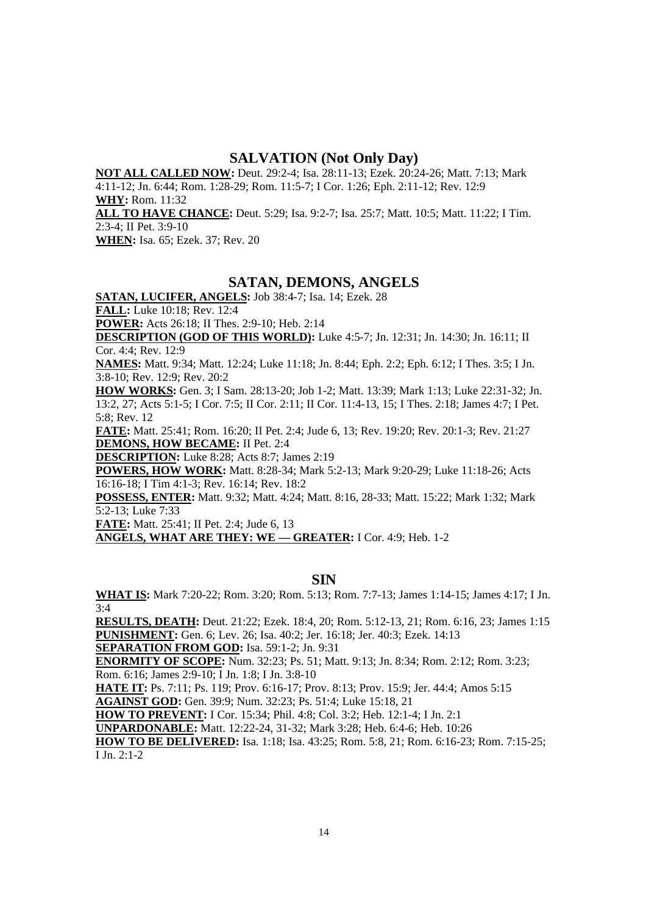#### **SALVATION (Not Only Day)**

**NOT ALL CALLED NOW:** Deut. 29:2-4; Isa. 28:11-13; Ezek. 20:24-26; Matt. 7:13; Mark 4:11-12; Jn. 6:44; Rom. 1:28-29; Rom. 11:5-7; I Cor. 1:26; Eph. 2:11-12; Rev. 12:9 **WHY:** Rom. 11:32 **ALL TO HAVE CHANCE:** Deut. 5:29; Isa. 9:2-7; Isa. 25:7; Matt. 10:5; Matt. 11:22; I Tim. 2:3-4; II Pet. 3:9-10

**WHEN:** Isa. 65; Ezek. 37; Rev. 20

# **SATAN, DEMONS, ANGELS**

**SATAN, LUCIFER, ANGELS:** Job 38:4-7; Isa. 14; Ezek. 28 **FALL:** Luke 10:18; Rev. 12:4 **POWER:** Acts 26:18; II Thes. 2:9-10; Heb. 2:14

**DESCRIPTION (GOD OF THIS WORLD):** Luke 4:5-7; Jn. 12:31; Jn. 14:30; Jn. 16:11; II Cor. 4:4; Rev. 12:9

**NAMES:** Matt. 9:34; Matt. 12:24; Luke 11:18; Jn. 8:44; Eph. 2:2; Eph. 6:12; I Thes. 3:5; I Jn. 3:8-10; Rev. 12:9; Rev. 20:2

**HOW WORKS:** Gen. 3; I Sam. 28:13-20; Job 1-2; Matt. 13:39; Mark 1:13; Luke 22:31-32; Jn. 13:2, 27; Acts 5:1-5; I Cor. 7:5; II Cor. 2:11; II Cor. 11:4-13, 15; I Thes. 2:18; James 4:7; I Pet. 5:8; Rev. 12

**FATE:** Matt. 25:41; Rom. 16:20; II Pet. 2:4; Jude 6, 13; Rev. 19:20; Rev. 20:1-3; Rev. 21:27 **DEMONS, HOW BECAME:** II Pet. 2:4

**DESCRIPTION:** Luke 8:28; Acts 8:7; James 2:19

**POWERS, HOW WORK:** Matt. 8:28-34; Mark 5:2-13; Mark 9:20-29; Luke 11:18-26; Acts 16:16-18; I Tim 4:1-3; Rev. 16:14; Rev. 18:2

**POSSESS, ENTER:** Matt. 9:32; Matt. 4:24; Matt. 8:16, 28-33; Matt. 15:22; Mark 1:32; Mark 5:2-13; Luke 7:33

**FATE:** Matt. 25:41; II Pet. 2:4; Jude 6, 13

**ANGELS, WHAT ARE THEY: WE — GREATER:** I Cor. 4:9; Heb. 1-2

**SIN**

**WHAT IS:** Mark 7:20-22; Rom. 3:20; Rom. 5:13; Rom. 7:7-13; James 1:14-15; James 4:17; I Jn. 3:4

**RESULTS, DEATH:** Deut. 21:22; Ezek. 18:4, 20; Rom. 5:12-13, 21; Rom. 6:16, 23; James 1:15 **PUNISHMENT:** Gen. 6; Lev. 26; Isa. 40:2; Jer. 16:18; Jer. 40:3; Ezek. 14:13

**SEPARATION FROM GOD:** Isa. 59:1-2; Jn. 9:31

**ENORMITY OF SCOPE:** Num. 32:23; Ps. 51; Matt. 9:13; Jn. 8:34; Rom. 2:12; Rom. 3:23; Rom. 6:16; James 2:9-10; I Jn. 1:8; I Jn. 3:8-10

**HATE IT:** Ps. 7:11; Ps. 119; Prov. 6:16-17; Prov. 8:13; Prov. 15:9; Jer. 44:4; Amos 5:15

**AGAINST GOD:** Gen. 39:9; Num. 32:23; Ps. 51:4; Luke 15:18, 21

**HOW TO PREVENT:** I Cor. 15:34; Phil. 4:8; Col. 3:2; Heb. 12:1-4; I Jn. 2:1

**UNPARDONABLE:** Matt. 12:22-24, 31-32; Mark 3:28; Heb. 6:4-6; Heb. 10:26

**HOW TO BE DELIVERED:** Isa. 1:18; Isa. 43:25; Rom. 5:8, 21; Rom. 6:16-23; Rom. 7:15-25; I Jn. 2:1-2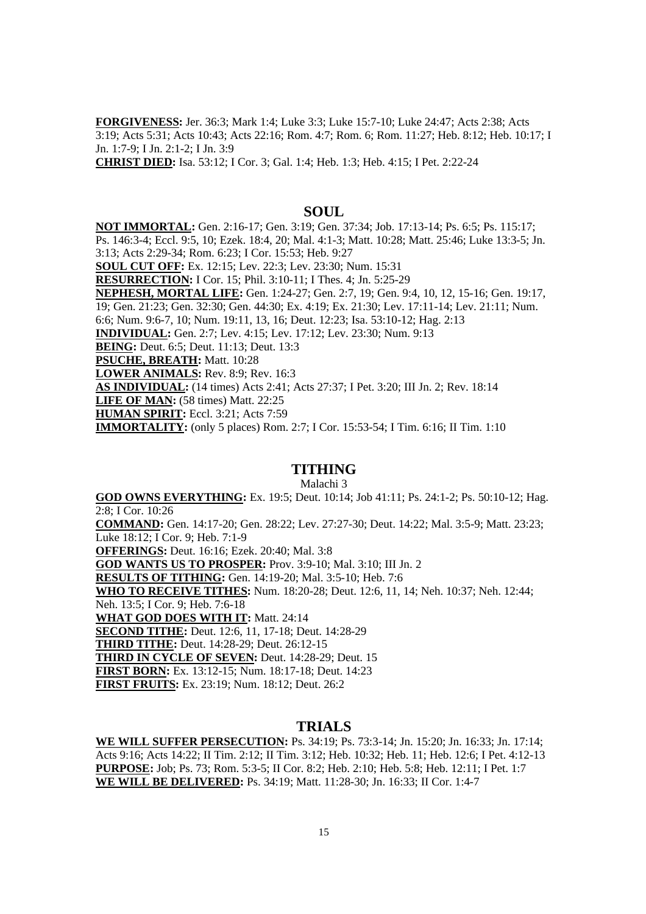**FORGIVENESS:** Jer. 36:3; Mark 1:4; Luke 3:3; Luke 15:7-10; Luke 24:47; Acts 2:38; Acts 3:19; Acts 5:31; Acts 10:43; Acts 22:16; Rom. 4:7; Rom. 6; Rom. 11:27; Heb. 8:12; Heb. 10:17; I Jn. 1:7-9; I Jn. 2:1-2; I Jn. 3:9

**CHRIST DIED:** Isa. 53:12; I Cor. 3; Gal. 1:4; Heb. 1:3; Heb. 4:15; I Pet. 2:22-24

#### **SOUL**

**NOT IMMORTAL:** Gen. 2:16-17; Gen. 3:19; Gen. 37:34; Job. 17:13-14; Ps. 6:5; Ps. 115:17; Ps. 146:3-4; Eccl. 9:5, 10; Ezek. 18:4, 20; Mal. 4:1-3; Matt. 10:28; Matt. 25:46; Luke 13:3-5; Jn. 3:13; Acts 2:29-34; Rom. 6:23; I Cor. 15:53; Heb. 9:27

**SOUL CUT OFF:** Ex. 12:15; Lev. 22:3; Lev. 23:30; Num. 15:31

**RESURRECTION:** I Cor. 15; Phil. 3:10-11; I Thes. 4; Jn. 5:25-29

**NEPHESH, MORTAL LIFE:** Gen. 1:24-27; Gen. 2:7, 19; Gen. 9:4, 10, 12, 15-16; Gen. 19:17,

19; Gen. 21:23; Gen. 32:30; Gen. 44:30; Ex. 4:19; Ex. 21:30; Lev. 17:11-14; Lev. 21:11; Num.

6:6; Num. 9:6-7, 10; Num. 19:11, 13, 16; Deut. 12:23; Isa. 53:10-12; Hag. 2:13

**INDIVIDUAL:** Gen. 2:7; Lev. 4:15; Lev. 17:12; Lev. 23:30; Num. 9:13

**BEING:** Deut. 6:5; Deut. 11:13; Deut. 13:3

**PSUCHE, BREATH:** Matt. 10:28

**LOWER ANIMALS:** Rev. 8:9; Rev. 16:3

**AS INDIVIDUAL:** (14 times) Acts 2:41; Acts 27:37; I Pet. 3:20; III Jn. 2; Rev. 18:14

**LIFE OF MAN:** (58 times) Matt. 22:25

**HUMAN SPIRIT:** Eccl. 3:21; Acts 7:59

**IMMORTALITY:** (only 5 places) Rom. 2:7; I Cor. 15:53-54; I Tim. 6:16; II Tim. 1:10

#### **TITHING**

Malachi 3

**GOD OWNS EVERYTHING:** Ex. 19:5; Deut. 10:14; Job 41:11; Ps. 24:1-2; Ps. 50:10-12; Hag. 2:8; I Cor. 10:26

**COMMAND:** Gen. 14:17-20; Gen. 28:22; Lev. 27:27-30; Deut. 14:22; Mal. 3:5-9; Matt. 23:23; Luke 18:12; I Cor. 9; Heb. 7:1-9

**OFFERINGS:** Deut. 16:16; Ezek. 20:40; Mal. 3:8

**GOD WANTS US TO PROSPER:** Prov. 3:9-10; Mal. 3:10; III Jn. 2

**RESULTS OF TITHING:** Gen. 14:19-20; Mal. 3:5-10; Heb. 7:6

**WHO TO RECEIVE TITHES:** Num. 18:20-28; Deut. 12:6, 11, 14; Neh. 10:37; Neh. 12:44; Neh. 13:5; I Cor. 9; Heb. 7:6-18

**WHAT GOD DOES WITH IT: Matt. 24:14** 

**SECOND TITHE:** Deut. 12:6, 11, 17-18; Deut. 14:28-29

**THIRD TITHE:** Deut. 14:28-29; Deut. 26:12-15

**THIRD IN CYCLE OF SEVEN:** Deut. 14:28-29; Deut. 15

**FIRST BORN:** Ex. 13:12-15; Num. 18:17-18; Deut. 14:23

**FIRST FRUITS:** Ex. 23:19; Num. 18:12; Deut. 26:2

#### **TRIALS**

**WE WILL SUFFER PERSECUTION:** Ps. 34:19; Ps. 73:3-14; Jn. 15:20; Jn. 16:33; Jn. 17:14; Acts 9:16; Acts 14:22; II Tim. 2:12; II Tim. 3:12; Heb. 10:32; Heb. 11; Heb. 12:6; I Pet. 4:12-13 **PURPOSE:** Job; Ps. 73; Rom. 5:3-5; II Cor. 8:2; Heb. 2:10; Heb. 5:8; Heb. 12:11; I Pet. 1:7 **WE WILL BE DELIVERED:** Ps. 34:19; Matt. 11:28-30; Jn. 16:33; II Cor. 1:4-7